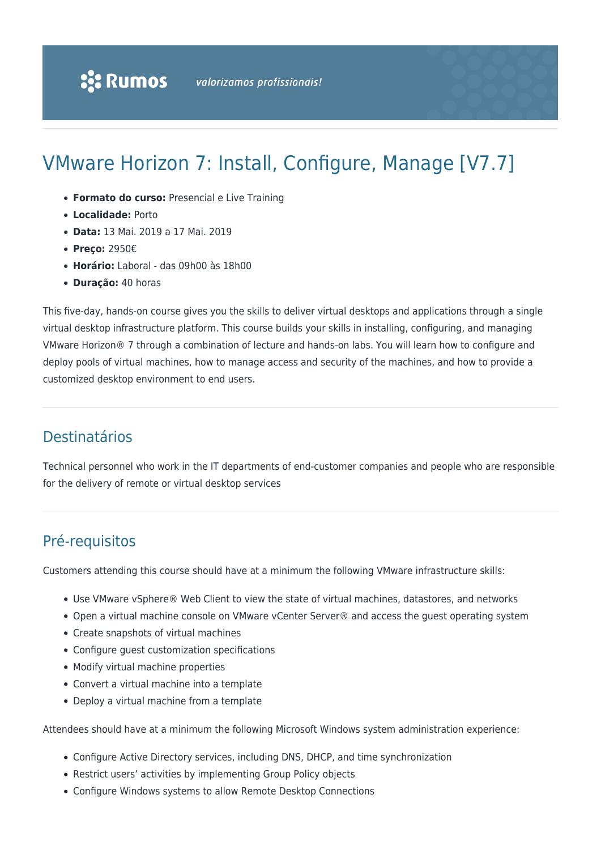# VMware Horizon 7: Install, Configure, Manage [V7.7]

- **Formato do curso:** Presencial e Live Training
- **Localidade:** Porto
- **Data:** 13 Mai. 2019 a 17 Mai. 2019
- **Preço:** 2950€
- **Horário:** Laboral das 09h00 às 18h00
- **Duração:** 40 horas

This five-day, hands-on course gives you the skills to deliver virtual desktops and applications through a single virtual desktop infrastructure platform. This course builds your skills in installing, configuring, and managing VMware Horizon® 7 through a combination of lecture and hands-on labs. You will learn how to configure and deploy pools of virtual machines, how to manage access and security of the machines, and how to provide a customized desktop environment to end users.

# Destinatários

Technical personnel who work in the IT departments of end-customer companies and people who are responsible for the delivery of remote or virtual desktop services

# Pré-requisitos

Customers attending this course should have at a minimum the following VMware infrastructure skills:

- Use VMware vSphere® Web Client to view the state of virtual machines, datastores, and networks
- Open a virtual machine console on VMware vCenter Server® and access the guest operating system
- Create snapshots of virtual machines
- Configure guest customization specifications
- Modify virtual machine properties
- Convert a virtual machine into a template
- Deploy a virtual machine from a template

Attendees should have at a minimum the following Microsoft Windows system administration experience:

- Configure Active Directory services, including DNS, DHCP, and time synchronization
- Restrict users' activities by implementing Group Policy objects
- Configure Windows systems to allow Remote Desktop Connections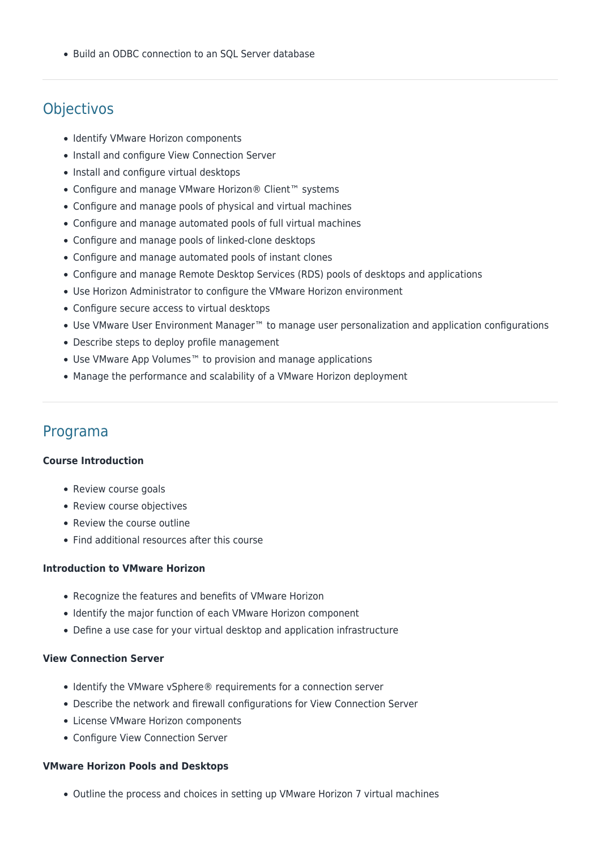• Build an ODBC connection to an SOL Server database

# **Objectivos**

- Identify VMware Horizon components
- Install and configure View Connection Server
- Install and configure virtual desktops
- Configure and manage VMware Horizon® Client™ systems
- Configure and manage pools of physical and virtual machines
- Configure and manage automated pools of full virtual machines
- Configure and manage pools of linked-clone desktops
- Configure and manage automated pools of instant clones
- Configure and manage Remote Desktop Services (RDS) pools of desktops and applications
- Use Horizon Administrator to configure the VMware Horizon environment
- Configure secure access to virtual desktops
- Use VMware User Environment Manager™ to manage user personalization and application configurations
- Describe steps to deploy profile management
- Use VMware App Volumes™ to provision and manage applications
- Manage the performance and scalability of a VMware Horizon deployment

# Programa

#### **Course Introduction**

- Review course goals
- Review course objectives
- Review the course outline
- Find additional resources after this course

#### **Introduction to VMware Horizon**

- Recognize the features and benefits of VMware Horizon
- Identify the major function of each VMware Horizon component
- Define a use case for your virtual desktop and application infrastructure

# **View Connection Server**

- Identify the VMware vSphere® requirements for a connection server
- Describe the network and firewall configurations for View Connection Server
- License VMware Horizon components
- Configure View Connection Server

#### **VMware Horizon Pools and Desktops**

Outline the process and choices in setting up VMware Horizon 7 virtual machines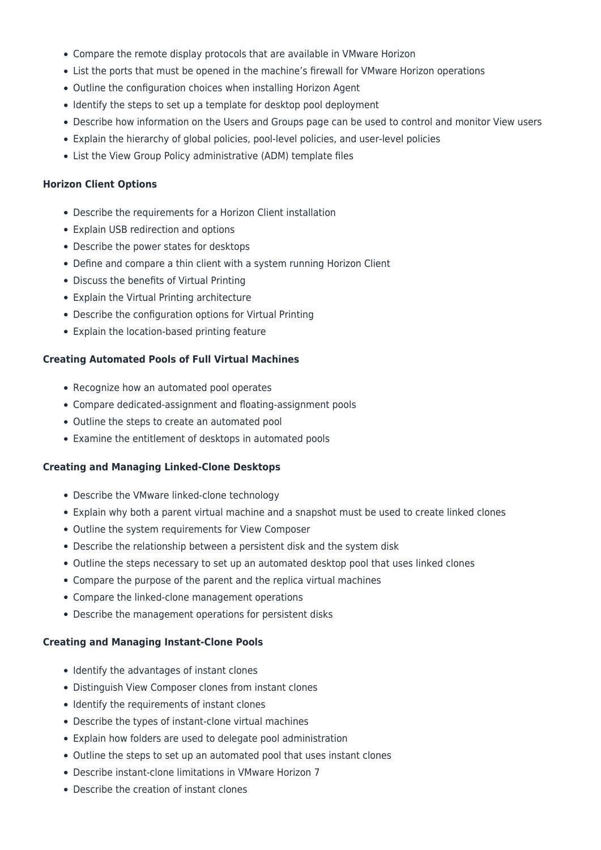- Compare the remote display protocols that are available in VMware Horizon
- List the ports that must be opened in the machine's firewall for VMware Horizon operations
- Outline the configuration choices when installing Horizon Agent
- Identify the steps to set up a template for desktop pool deployment
- Describe how information on the Users and Groups page can be used to control and monitor View users
- Explain the hierarchy of global policies, pool-level policies, and user-level policies
- List the View Group Policy administrative (ADM) template files

#### **Horizon Client Options**

- Describe the requirements for a Horizon Client installation
- Explain USB redirection and options
- Describe the power states for desktops
- Define and compare a thin client with a system running Horizon Client
- Discuss the benefits of Virtual Printing
- Explain the Virtual Printing architecture
- Describe the configuration options for Virtual Printing
- Explain the location-based printing feature

#### **Creating Automated Pools of Full Virtual Machines**

- Recognize how an automated pool operates
- Compare dedicated-assignment and floating-assignment pools
- Outline the steps to create an automated pool
- Examine the entitlement of desktops in automated pools

#### **Creating and Managing Linked-Clone Desktops**

- Describe the VMware linked-clone technology
- Explain why both a parent virtual machine and a snapshot must be used to create linked clones
- Outline the system requirements for View Composer
- Describe the relationship between a persistent disk and the system disk
- Outline the steps necessary to set up an automated desktop pool that uses linked clones
- Compare the purpose of the parent and the replica virtual machines
- Compare the linked-clone management operations
- Describe the management operations for persistent disks

#### **Creating and Managing Instant-Clone Pools**

- Identify the advantages of instant clones
- Distinguish View Composer clones from instant clones
- Identify the requirements of instant clones
- Describe the types of instant-clone virtual machines
- Explain how folders are used to delegate pool administration
- Outline the steps to set up an automated pool that uses instant clones
- Describe instant-clone limitations in VMware Horizon 7
- Describe the creation of instant clones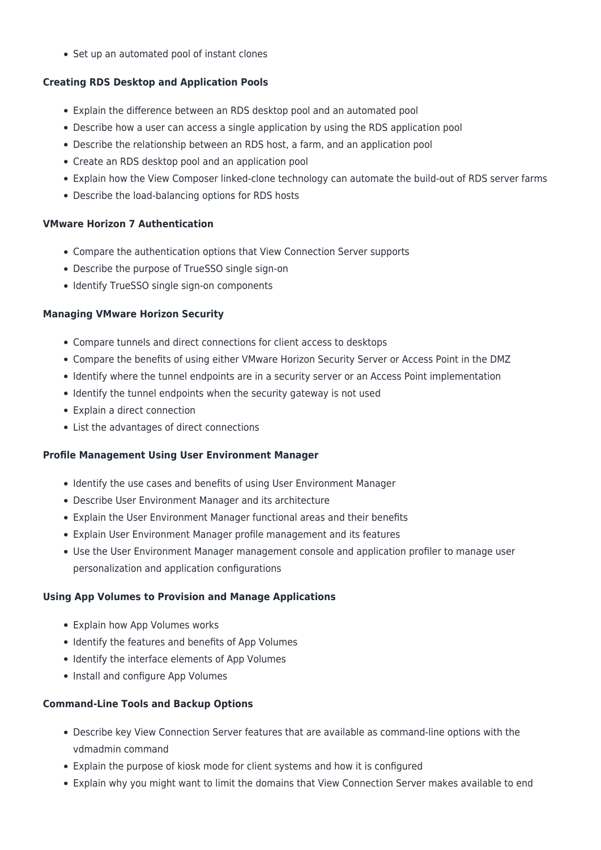• Set up an automated pool of instant clones

# **Creating RDS Desktop and Application Pools**

- Explain the difference between an RDS desktop pool and an automated pool
- Describe how a user can access a single application by using the RDS application pool
- Describe the relationship between an RDS host, a farm, and an application pool
- Create an RDS desktop pool and an application pool
- Explain how the View Composer linked-clone technology can automate the build-out of RDS server farms
- Describe the load-balancing options for RDS hosts

# **VMware Horizon 7 Authentication**

- Compare the authentication options that View Connection Server supports
- Describe the purpose of TrueSSO single sign-on
- Identify TrueSSO single sign-on components

# **Managing VMware Horizon Security**

- Compare tunnels and direct connections for client access to desktops
- Compare the benefits of using either VMware Horizon Security Server or Access Point in the DMZ
- Identify where the tunnel endpoints are in a security server or an Access Point implementation
- Identify the tunnel endpoints when the security gateway is not used
- Explain a direct connection
- List the advantages of direct connections

# **Profile Management Using User Environment Manager**

- Identify the use cases and benefits of using User Environment Manager
- Describe User Environment Manager and its architecture
- Explain the User Environment Manager functional areas and their benefits
- Explain User Environment Manager profile management and its features
- Use the User Environment Manager management console and application profiler to manage user personalization and application configurations

# **Using App Volumes to Provision and Manage Applications**

- Explain how App Volumes works
- Identify the features and benefits of App Volumes
- Identify the interface elements of App Volumes
- Install and configure App Volumes

# **Command-Line Tools and Backup Options**

- Describe key View Connection Server features that are available as command-line options with the vdmadmin command
- Explain the purpose of kiosk mode for client systems and how it is configured
- Explain why you might want to limit the domains that View Connection Server makes available to end